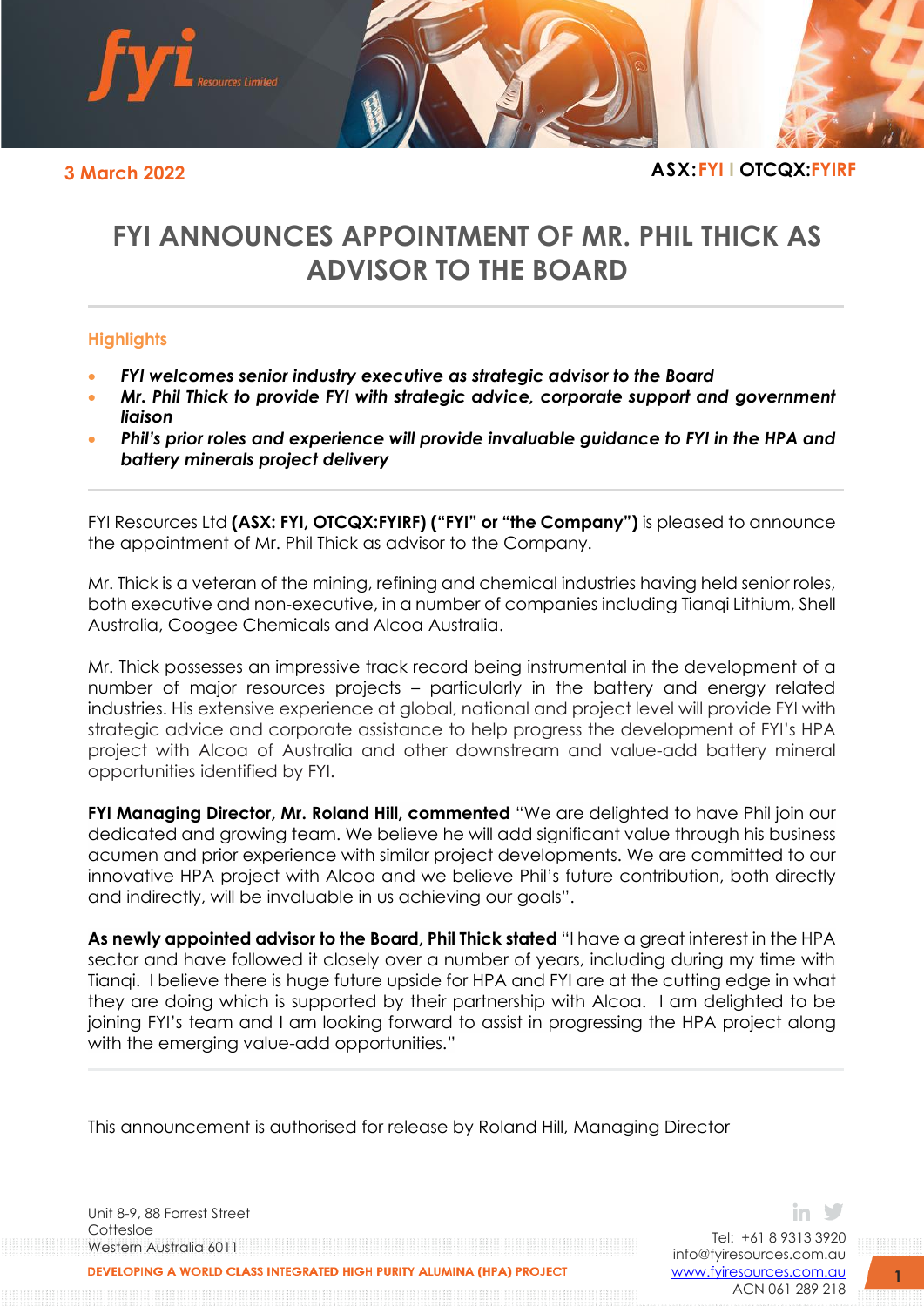

## **3 March 2022 ASX:FYI I OTCQX:FYIRF**

# **FYI ANNOUNCES APPOINTMENT OF MR. PHIL THICK AS ADVISOR TO THE BOARD**

#### **Highlights**

- *FYI welcomes senior industry executive as strategic advisor to the Board*
- *Mr. Phil Thick to provide FYI with strategic advice, corporate support and government liaison*
- *Phil's prior roles and experience will provide invaluable guidance to FYI in the HPA and battery minerals project delivery*

FYI Resources Ltd **(ASX: FYI, OTCQX:FYIRF) ("FYI" or "the Company")** is pleased to announce the appointment of Mr. Phil Thick as advisor to the Company.

Mr. Thick is a veteran of the mining, refining and chemical industries having held senior roles, both executive and non-executive, in a number of companies including Tianqi Lithium, Shell Australia, Coogee Chemicals and Alcoa Australia.

Mr. Thick possesses an impressive track record being instrumental in the development of a number of major resources projects – particularly in the battery and energy related industries. His extensive experience at global, national and project level will provide FYI with strategic advice and corporate assistance to help progress the development of FYI's HPA project with Alcoa of Australia and other downstream and value-add battery mineral opportunities identified by FYI.

**FYI Managing Director, Mr. Roland Hill, commented** "We are delighted to have Phil join our dedicated and growing team. We believe he will add significant value through his business acumen and prior experience with similar project developments. We are committed to our innovative HPA project with Alcoa and we believe Phil's future contribution, both directly and indirectly, will be invaluable in us achieving our goals".

**As newly appointed advisor to the Board, Phil Thick stated** "I have a great interest in the HPA sector and have followed it closely over a number of years, including during my time with Tianqi. I believe there is huge future upside for HPA and FYI are at the cutting edge in what they are doing which is supported by their partnership with Alcoa. I am delighted to be joining FYI's team and I am looking forward to assist in progressing the HPA project along with the emerging value-add opportunities."

This announcement is authorised for release by Roland Hill, Managing Director

Unit 8-9, 88 Forrest Street Cottesloe Western Australia 6011 VELOPING A WORLD CLASS INTEGRATED HIGH PURITY ALUMINA (HPA) PROJECT

Tel: +61 8 9313 3920 [info@fyiresources.com.au](mailto:info@fyiresources.com.au) [www.fyiresources.com.au](mailto:https://www.fyiresources.com.au/) ACN 061 289 218

in Y

**1**